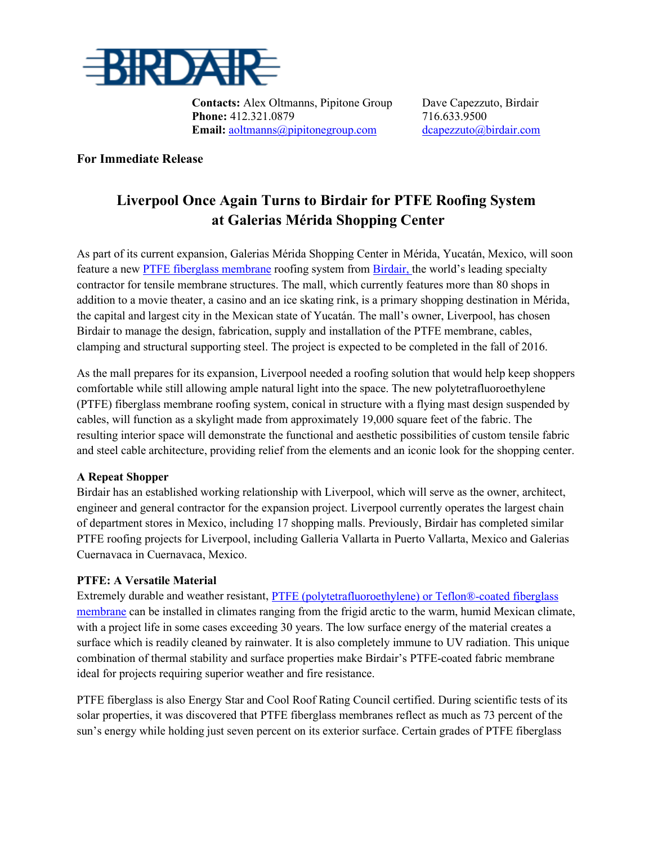

**Contacts:** Alex Oltmanns, Pipitone Group Dave Capezzuto, Birdair **Phone:** 412.321.0879 716.633.9500 **Email:** [aoltmanns@pipitonegroup.com](mailto:aoltmanns@pipitonegroup.com) [dcapezzuto@birdair.com](mailto:dcapezzuto@birdair.com)

**For Immediate Release**

## **Liverpool Once Again Turns to Birdair for PTFE Roofing System at Galerias Mérida Shopping Center**

As part of its current expansion, Galerias Mérida Shopping Center in Mérida, Yucatán, Mexico, will soon feature a new [PTFE fiberglass membrane](http://www.birdair.com/tensile-architecture/membrane/ptfe-fiberglass) roofing system from [Birdair,](http://birdair.com/) the world's leading specialty contractor for tensile membrane structures. The mall, which currently features more than 80 shops in addition to a movie theater, a casino and an ice skating rink, is a primary shopping destination in Mérida, the capital and largest city in the Mexican state of Yucatán. The mall's owner, Liverpool, has chosen Birdair to manage the design, fabrication, supply and installation of the PTFE membrane, cables, clamping and structural supporting steel. The project is expected to be completed in the fall of 2016.

As the mall prepares for its expansion, Liverpool needed a roofing solution that would help keep shoppers comfortable while still allowing ample natural light into the space. The new polytetrafluoroethylene (PTFE) fiberglass membrane roofing system, conical in structure with a flying mast design suspended by cables, will function as a skylight made from approximately 19,000 square feet of the fabric. The resulting interior space will demonstrate the functional and aesthetic possibilities of custom tensile fabric and steel cable architecture, providing relief from the elements and an iconic look for the shopping center.

## **A Repeat Shopper**

Birdair has an established working relationship with Liverpool, which will serve as the owner, architect, engineer and general contractor for the expansion project. Liverpool currently operates the largest chain of department stores in Mexico, including 17 shopping malls. Previously, Birdair has completed similar PTFE roofing projects for Liverpool, including Galleria Vallarta in Puerto Vallarta, Mexico and Galerias Cuernavaca in Cuernavaca, Mexico.

## **PTFE: A Versatile Material**

Extremely durable and weather resistant, [PTFE \(polytetrafluoroethylene\) or Teflon®-coated fiberglass](http://www.birdair.com/tensile-architecture/membrane/ptfe-fiberglass?utm_source=vocus&utm_medium=news_release&utm_content=sarasota_airport&utm_campaign=2015_public_relations)  [membrane](http://www.birdair.com/tensile-architecture/membrane/ptfe-fiberglass?utm_source=vocus&utm_medium=news_release&utm_content=sarasota_airport&utm_campaign=2015_public_relations) can be installed in climates ranging from the frigid arctic to the warm, humid Mexican climate, with a project life in some cases exceeding 30 years. The low surface energy of the material creates a surface which is readily cleaned by rainwater. It is also completely immune to UV radiation. This unique combination of thermal stability and surface properties make Birdair's PTFE-coated fabric membrane ideal for projects requiring superior weather and fire resistance.

PTFE fiberglass is also Energy Star and Cool Roof Rating Council certified. During scientific tests of its solar properties, it was discovered that PTFE fiberglass membranes reflect as much as 73 percent of the sun's energy while holding just seven percent on its exterior surface. Certain grades of PTFE fiberglass